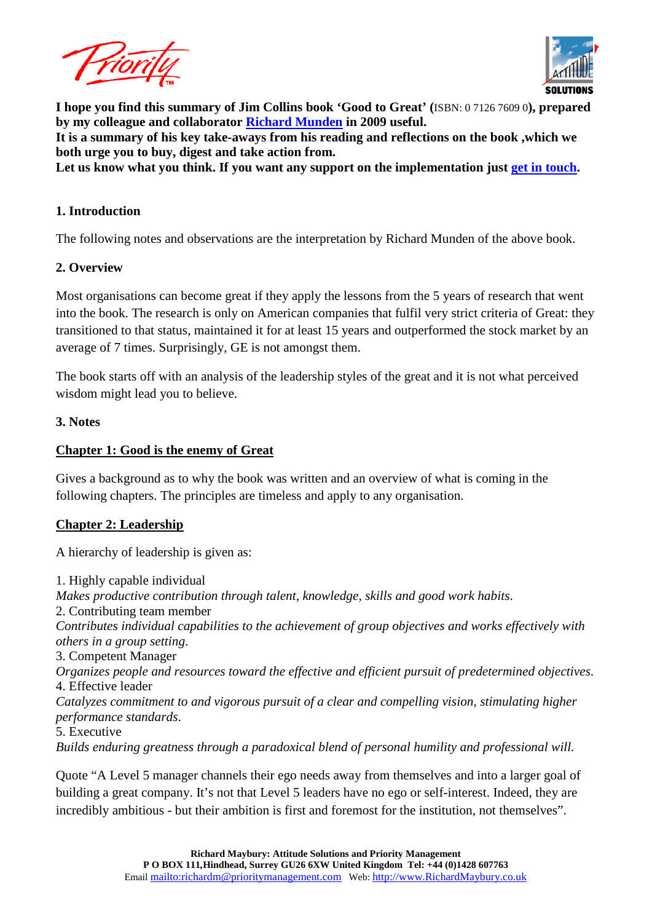



**I hope you find this summary of Jim Collins book 'Good to Great' (**ISBN: 0 7126 7609 0**), prepared by my colleague and collaborator [Richard Munden](http://www.linkedin.com/in/richardmunden1) in 2009 useful.**

**It is a summary of his key take-aways from his reading and reflections on the book ,which we both urge you to buy, digest and take action from.** 

Let us know what you think. If you want any support on the implementation just [get in touch.](http://richardmaybury.co.uk/contact-us/)

#### **1. Introduction**

The following notes and observations are the interpretation by Richard Munden of the above book.

#### **2. Overview**

Most organisations can become great if they apply the lessons from the 5 years of research that went into the book. The research is only on American companies that fulfil very strict criteria of Great: they transitioned to that status, maintained it for at least 15 years and outperformed the stock market by an average of 7 times. Surprisingly, GE is not amongst them.

The book starts off with an analysis of the leadership styles of the great and it is not what perceived wisdom might lead you to believe.

#### **3. Notes**

### **Chapter 1: Good is the enemy of Great**

Gives a background as to why the book was written and an overview of what is coming in the following chapters. The principles are timeless and apply to any organisation.

### **Chapter 2: Leadership**

A hierarchy of leadership is given as:

1. Highly capable individual *Makes productive contribution through talent, knowledge, skills and good work habits*. 2. Contributing team member *Contributes individual capabilities to the achievement of group objectives and works effectively with others in a group setting*. 3. Competent Manager *Organizes people and resources toward the effective and efficient pursuit of predetermined objectives.*  4. Effective leader *Catalyzes commitment to and vigorous pursuit of a clear and compelling vision, stimulating higher performance standards*. 5. Executive *Builds enduring greatness through a paradoxical blend of personal humility and professional will.* 

Quote "A Level 5 manager channels their ego needs away from themselves and into a larger goal of building a great company. It's not that Level 5 leaders have no ego or self-interest. Indeed, they are incredibly ambitious - but their ambition is first and foremost for the institution, not themselves".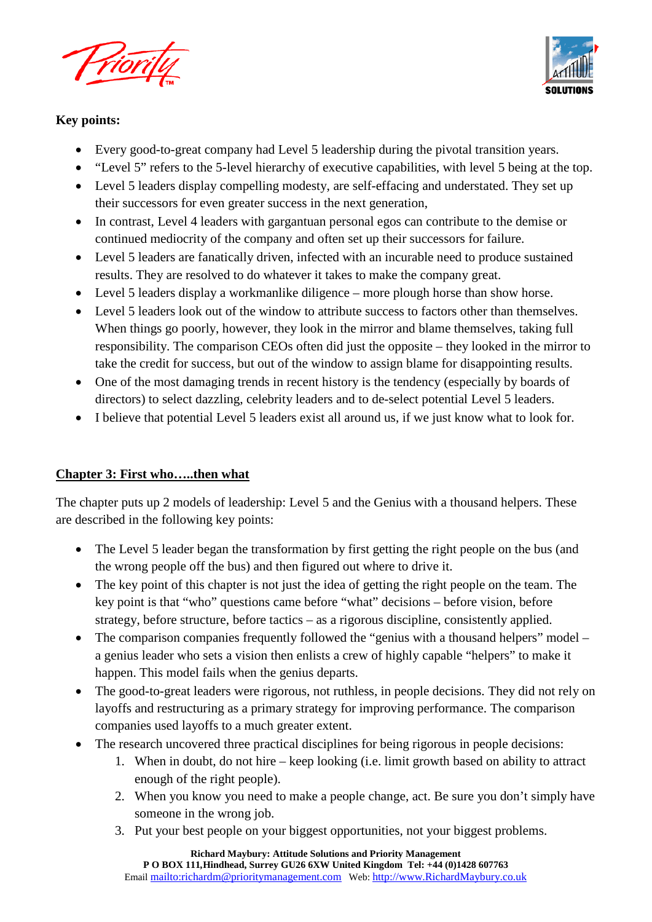



## **Key points:**

- Every good-to-great company had Level 5 leadership during the pivotal transition years.
- "Level 5" refers to the 5-level hierarchy of executive capabilities, with level 5 being at the top.
- Level 5 leaders display compelling modesty, are self-effacing and understated. They set up their successors for even greater success in the next generation,
- In contrast, Level 4 leaders with gargantuan personal egos can contribute to the demise or continued mediocrity of the company and often set up their successors for failure.
- Level 5 leaders are fanatically driven, infected with an incurable need to produce sustained results. They are resolved to do whatever it takes to make the company great.
- Level 5 leaders display a workmanlike diligence more plough horse than show horse.
- Level 5 leaders look out of the window to attribute success to factors other than themselves. When things go poorly, however, they look in the mirror and blame themselves, taking full responsibility. The comparison CEOs often did just the opposite – they looked in the mirror to take the credit for success, but out of the window to assign blame for disappointing results.
- One of the most damaging trends in recent history is the tendency (especially by boards of directors) to select dazzling, celebrity leaders and to de-select potential Level 5 leaders.
- I believe that potential Level 5 leaders exist all around us, if we just know what to look for.

### **Chapter 3: First who…..then what**

The chapter puts up 2 models of leadership: Level 5 and the Genius with a thousand helpers. These are described in the following key points:

- The Level 5 leader began the transformation by first getting the right people on the bus (and the wrong people off the bus) and then figured out where to drive it.
- The key point of this chapter is not just the idea of getting the right people on the team. The key point is that "who" questions came before "what" decisions – before vision, before strategy, before structure, before tactics – as a rigorous discipline, consistently applied.
- The comparison companies frequently followed the "genius with a thousand helpers" model a genius leader who sets a vision then enlists a crew of highly capable "helpers" to make it happen. This model fails when the genius departs.
- The good-to-great leaders were rigorous, not ruthless, in people decisions. They did not rely on layoffs and restructuring as a primary strategy for improving performance. The comparison companies used layoffs to a much greater extent.
- The research uncovered three practical disciplines for being rigorous in people decisions:
	- 1. When in doubt, do not hire keep looking (i.e. limit growth based on ability to attract enough of the right people).
	- 2. When you know you need to make a people change, act. Be sure you don't simply have someone in the wrong job.
	- 3. Put your best people on your biggest opportunities, not your biggest problems.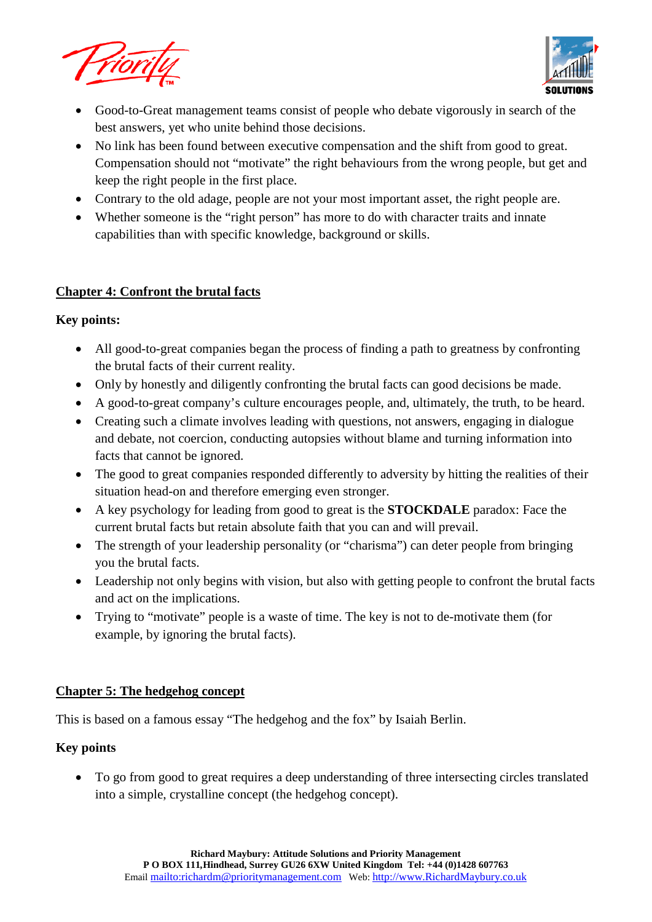



- Good-to-Great management teams consist of people who debate vigorously in search of the best answers, yet who unite behind those decisions.
- No link has been found between executive compensation and the shift from good to great. Compensation should not "motivate" the right behaviours from the wrong people, but get and keep the right people in the first place.
- Contrary to the old adage, people are not your most important asset, the right people are.
- Whether someone is the "right person" has more to do with character traits and innate capabilities than with specific knowledge, background or skills.

# **Chapter 4: Confront the brutal facts**

### **Key points:**

- All good-to-great companies began the process of finding a path to greatness by confronting the brutal facts of their current reality.
- Only by honestly and diligently confronting the brutal facts can good decisions be made.
- A good-to-great company's culture encourages people, and, ultimately, the truth, to be heard.
- Creating such a climate involves leading with questions, not answers, engaging in dialogue and debate, not coercion, conducting autopsies without blame and turning information into facts that cannot be ignored.
- The good to great companies responded differently to adversity by hitting the realities of their situation head-on and therefore emerging even stronger.
- A key psychology for leading from good to great is the **STOCKDALE** paradox: Face the current brutal facts but retain absolute faith that you can and will prevail.
- The strength of your leadership personality (or "charisma") can deter people from bringing you the brutal facts.
- Leadership not only begins with vision, but also with getting people to confront the brutal facts and act on the implications.
- Trying to "motivate" people is a waste of time. The key is not to de-motivate them (for example, by ignoring the brutal facts).

# **Chapter 5: The hedgehog concept**

This is based on a famous essay "The hedgehog and the fox" by Isaiah Berlin.

# **Key points**

• To go from good to great requires a deep understanding of three intersecting circles translated into a simple, crystalline concept (the hedgehog concept).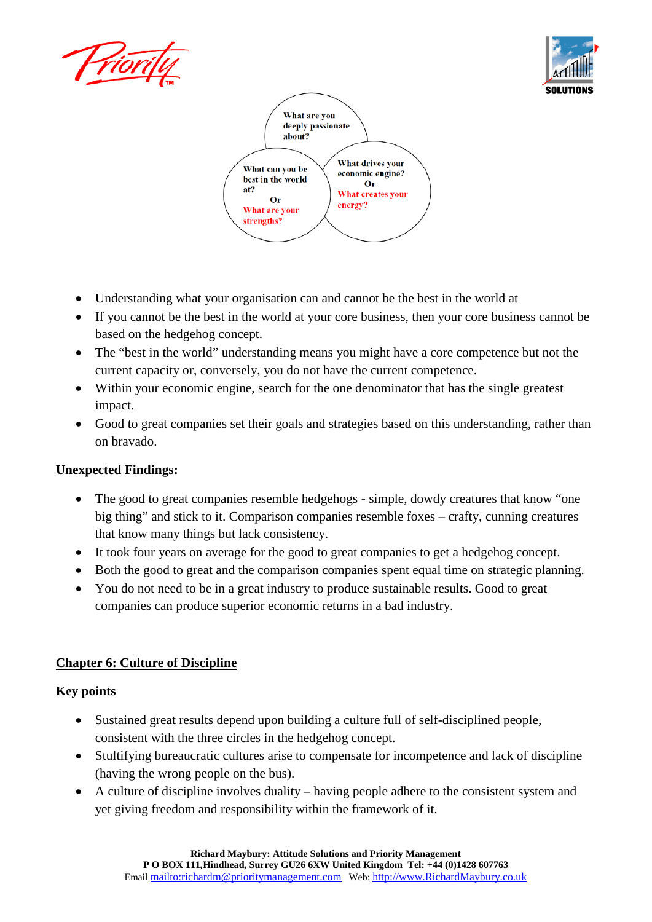





- Understanding what your organisation can and cannot be the best in the world at
- If you cannot be the best in the world at your core business, then your core business cannot be based on the hedgehog concept.
- The "best in the world" understanding means you might have a core competence but not the current capacity or, conversely, you do not have the current competence.
- Within your economic engine, search for the one denominator that has the single greatest impact.
- Good to great companies set their goals and strategies based on this understanding, rather than on bravado.

### **Unexpected Findings:**

- The good to great companies resemble hedgehogs simple, dowdy creatures that know "one" big thing" and stick to it. Comparison companies resemble foxes – crafty, cunning creatures that know many things but lack consistency.
- It took four years on average for the good to great companies to get a hedgehog concept.
- Both the good to great and the comparison companies spent equal time on strategic planning.
- You do not need to be in a great industry to produce sustainable results. Good to great companies can produce superior economic returns in a bad industry.

### **Chapter 6: Culture of Discipline**

### **Key points**

- Sustained great results depend upon building a culture full of self-disciplined people, consistent with the three circles in the hedgehog concept.
- Stultifying bureaucratic cultures arise to compensate for incompetence and lack of discipline (having the wrong people on the bus).
- A culture of discipline involves duality having people adhere to the consistent system and yet giving freedom and responsibility within the framework of it.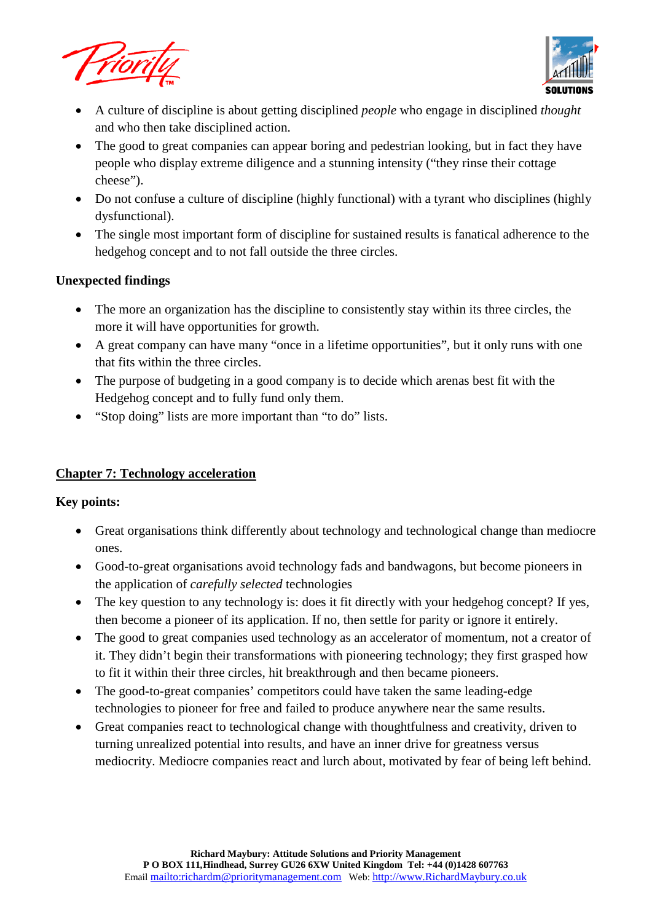



- A culture of discipline is about getting disciplined *people* who engage in disciplined *thought*  and who then take disciplined action.
- The good to great companies can appear boring and pedestrian looking, but in fact they have people who display extreme diligence and a stunning intensity ("they rinse their cottage cheese").
- Do not confuse a culture of discipline (highly functional) with a tyrant who disciplines (highly dysfunctional).
- The single most important form of discipline for sustained results is fanatical adherence to the hedgehog concept and to not fall outside the three circles.

### **Unexpected findings**

- The more an organization has the discipline to consistently stay within its three circles, the more it will have opportunities for growth.
- A great company can have many "once in a lifetime opportunities", but it only runs with one that fits within the three circles.
- The purpose of budgeting in a good company is to decide which arenas best fit with the Hedgehog concept and to fully fund only them.
- "Stop doing" lists are more important than "to do" lists.

# **Chapter 7: Technology acceleration**

### **Key points:**

- Great organisations think differently about technology and technological change than mediocre ones.
- Good-to-great organisations avoid technology fads and bandwagons, but become pioneers in the application of *carefully selected* technologies
- The key question to any technology is: does it fit directly with your hedgehog concept? If yes, then become a pioneer of its application. If no, then settle for parity or ignore it entirely.
- The good to great companies used technology as an accelerator of momentum, not a creator of it. They didn't begin their transformations with pioneering technology; they first grasped how to fit it within their three circles, hit breakthrough and then became pioneers.
- The good-to-great companies' competitors could have taken the same leading-edge technologies to pioneer for free and failed to produce anywhere near the same results.
- Great companies react to technological change with thoughtfulness and creativity, driven to turning unrealized potential into results, and have an inner drive for greatness versus mediocrity. Mediocre companies react and lurch about, motivated by fear of being left behind.